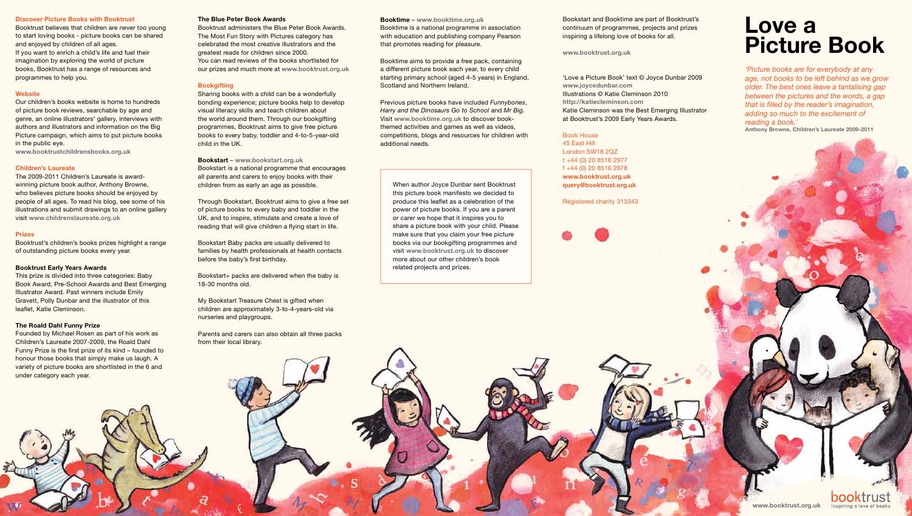*'Picture books are for everybody at any age, not books to be left behind as we grow older. The best ones leave a tantalising gap between the pictures and the words, a gap that is filled by the reader's imagination, adding so much to the excitement of reading a book.'* **Anthony Browne, Children's Laureate 2009-2011**



#### **Discover Picture Books with Booktrust**

Booktrust believes that children are never too young to start loving books - picture books can be shared and enjoyed by children of all ages. If you want to enrich a child's life and fuel their imagination by exploring the world of picture books, Booktrust has a range of resources and programmes to help you.

# **Website**

Our children's books website is home to hundreds of picture book reviews, searchable by age and genre, an online illustrators' gallery, interviews with authors and illustrators and information on the Big Picture campaign, which aims to put picture books in the public eye.

**www.booktrustchildrensbooks.org.uk** 

# **Children's Laureate**

The 2009-2011 Children's Laureate is awardwinning picture book author, Anthony Browne, who believes picture books should be enjoyed by people of all ages. To read his blog, see some of his illustrations and submit drawings to an online gallery visit **www.childrenslaureate.org.uk** 

#### **Prizes**

Booktrust's children's books prizes highlight a range of outstanding picture books every year.

#### **Booktrust Early Years Awards**

This prize is divided into three categories: Baby Book Award, Pre-School Awards and Best Emerging Illustrator Award. Past winners include Emily Gravett, Polly Dunbar and the illustrator of this leaflet, Katie Cleminson.

### **The Roald Dahl Funny Prize**

Founded by Michael Rosen as part of his work as Children's Laureate 2007-2009, the Roald Dahl Funny Prize is the first prize of its kind – founded to honour those books that simply make us laugh. A variety of picture books are shortlisted in the 6 and under category each year.

# **The Blue Peter Book Awards**

Booktrust administers the Blue Peter Book Awards. The Most Fun Story with Pictures category has celebrated the most creative illustrators and the greatest reads for children since 2000. You can read reviews of the books shortlisted for our prizes and much more at **www.booktrust.org.uk**

# **Bookgifting**

Sharing books with a child can be a wonderfully bonding experience; picture books help to develop visual literacy skills and teach children about the world around them. Through our bookgifting programmes, Booktrust aims to give free picture books to every baby, toddler and 4-to-5-year-old child in the UK.

**Bookstart** – **www.bookstart.org.uk** Bookstart is a national programme that encourages all parents and carers to enjoy books with their children from as early an age as possible.

Through Bookstart, Booktrust aims to give a free set of picture books to every baby and toddler in the UK, and to inspire, stimulate and create a love of reading that will give children a flying start in life.

Bookstart Baby packs are usually delivered to families by health professionals at health contacts before the baby's first birthday.

Bookstart+ packs are delivered when the baby is 18-30 months old.

My Bookstart Treasure Chest is gifted when children are approximately 3-to-4-years-old via nurseries and playgroups.

Parents and carers can also obtain all three packs from their local library.

**Booktime** – **www.booktime.org.uk** Booktime is a national programme in association with education and publishing company Pearson that promotes reading for pleasure.

Booktime aims to provide a free pack, containing a different picture book each year, to every child starting primary school (aged 4-5 years) in England, Scotland and Northern Ireland.

Previous picture books have included *Funnybones*, *Harry and the Dinosaurs Go to School* and *Mr Big*. Visit **www.booktime.org.uk** to discover bookthemed activities and games as well as videos, competitions, blogs and resources for children with additional needs.

Bookstart and Booktime are part of Booktrust's continuum of programmes, projects and prizes inspiring a lifelong love of books for all.

**www.booktrust.org.uk** 

'Love a Picture Book' text © Joyce Dunbar 2009 **www.joycedunbar.com** Illustrations © Katie Cleminson 2010 **http://katiecleminson.com** Katie Cleminson was the Best Emerging Illustrator at Booktrust's 2009 Early Years Awards.

Book House 45 East Hill London SW18 2QZ t +44 (0) 20 8516 2977 f +44 (0) 20 8516 2978 **www.booktrust.org.uk query@booktrust.org.uk**

Registered charity 313343

When author Joyce Dunbar sent Booktrust this picture book manifesto we decided to produce this leaflet as a celebration of the power of picture books. If you are a parent or carer we hope that it inspires you to share a picture book with your child. Please make sure that you claim your free picture books via our bookgifting programmes and visit **www.booktrust.org.uk** to discover more about our other children's book related projects and prizes.

**www.booktrust.org.uk**

booktrust Inspiring a love of book